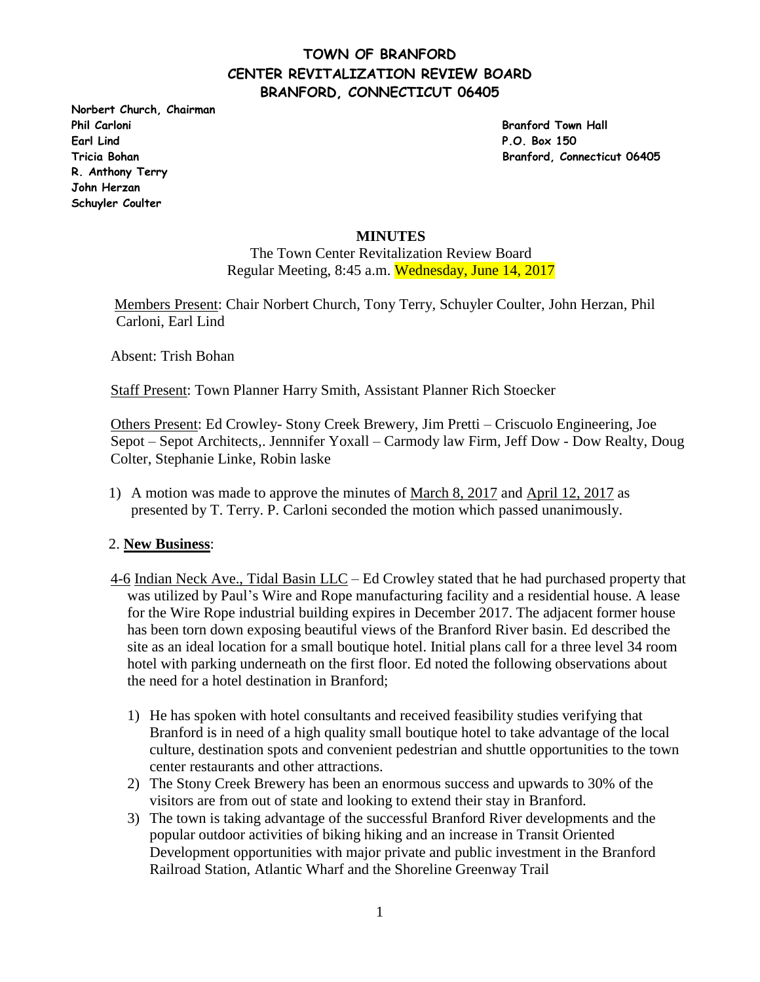**Norbert Church, Chairman Phil Carloni Branford Town Hall Earl Lind P.O. Box 150 R. Anthony Terry John Herzan Schuyler Coulter** 

**Tricia Bohan Branford, Connecticut 06405**

#### **MINUTES**

The Town Center Revitalization Review Board Regular Meeting, 8:45 a.m. Wednesday, June 14, 2017

 Members Present: Chair Norbert Church, Tony Terry, Schuyler Coulter, John Herzan, Phil Carloni, Earl Lind

Absent: Trish Bohan

Staff Present: Town Planner Harry Smith, Assistant Planner Rich Stoecker

Others Present: Ed Crowley- Stony Creek Brewery, Jim Pretti – Criscuolo Engineering, Joe Sepot – Sepot Architects,. Jennnifer Yoxall – Carmody law Firm, Jeff Dow - Dow Realty, Doug Colter, Stephanie Linke, Robin laske

1) A motion was made to approve the minutes of March 8, 2017 and April 12, 2017 as presented by T. Terry. P. Carloni seconded the motion which passed unanimously.

#### 2. **New Business**:

- 4-6 Indian Neck Ave., Tidal Basin LLC Ed Crowley stated that he had purchased property that was utilized by Paul's Wire and Rope manufacturing facility and a residential house. A lease for the Wire Rope industrial building expires in December 2017. The adjacent former house has been torn down exposing beautiful views of the Branford River basin. Ed described the site as an ideal location for a small boutique hotel. Initial plans call for a three level 34 room hotel with parking underneath on the first floor. Ed noted the following observations about the need for a hotel destination in Branford;
	- 1) He has spoken with hotel consultants and received feasibility studies verifying that Branford is in need of a high quality small boutique hotel to take advantage of the local culture, destination spots and convenient pedestrian and shuttle opportunities to the town center restaurants and other attractions.
	- 2) The Stony Creek Brewery has been an enormous success and upwards to 30% of the visitors are from out of state and looking to extend their stay in Branford.
	- 3) The town is taking advantage of the successful Branford River developments and the popular outdoor activities of biking hiking and an increase in Transit Oriented Development opportunities with major private and public investment in the Branford Railroad Station, Atlantic Wharf and the Shoreline Greenway Trail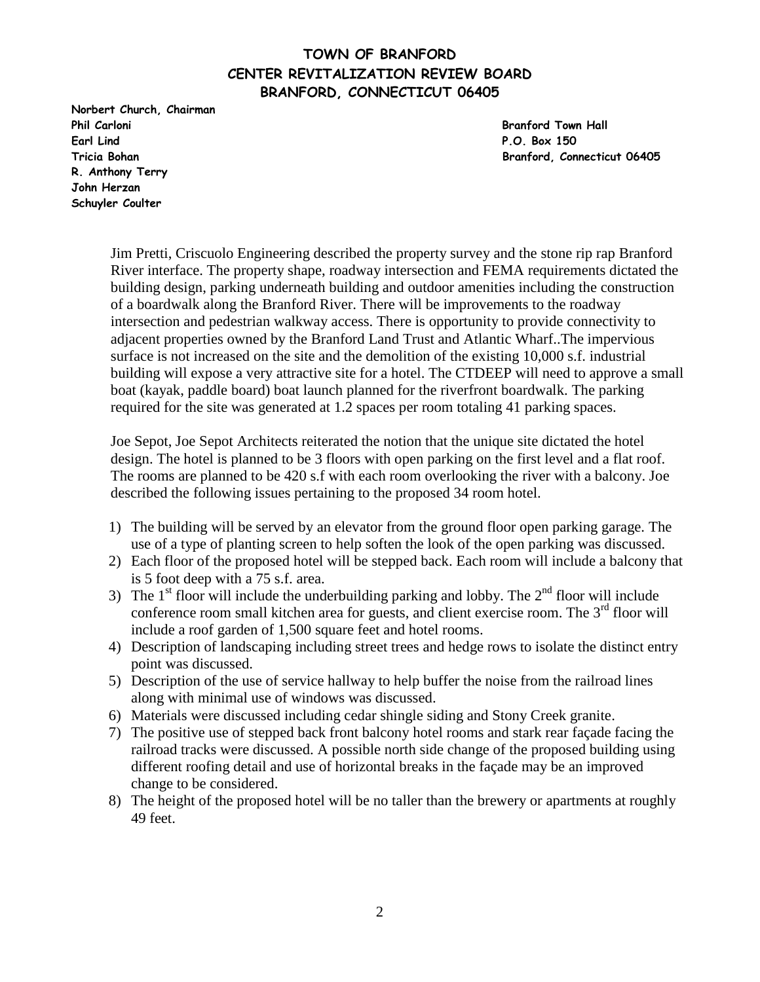**Norbert Church, Chairman Phil Carloni Branford Town Hall Earl Lind P.O. Box 150 R. Anthony Terry John Herzan Schuyler Coulter** 

**Tricia Bohan Branford, Connecticut 06405**

Jim Pretti, Criscuolo Engineering described the property survey and the stone rip rap Branford River interface. The property shape, roadway intersection and FEMA requirements dictated the building design, parking underneath building and outdoor amenities including the construction of a boardwalk along the Branford River. There will be improvements to the roadway intersection and pedestrian walkway access. There is opportunity to provide connectivity to adjacent properties owned by the Branford Land Trust and Atlantic Wharf..The impervious surface is not increased on the site and the demolition of the existing 10,000 s.f. industrial building will expose a very attractive site for a hotel. The CTDEEP will need to approve a small boat (kayak, paddle board) boat launch planned for the riverfront boardwalk. The parking required for the site was generated at 1.2 spaces per room totaling 41 parking spaces.

Joe Sepot, Joe Sepot Architects reiterated the notion that the unique site dictated the hotel design. The hotel is planned to be 3 floors with open parking on the first level and a flat roof. The rooms are planned to be 420 s.f with each room overlooking the river with a balcony. Joe described the following issues pertaining to the proposed 34 room hotel.

- 1) The building will be served by an elevator from the ground floor open parking garage. The use of a type of planting screen to help soften the look of the open parking was discussed.
- 2) Each floor of the proposed hotel will be stepped back. Each room will include a balcony that is 5 foot deep with a 75 s.f. area.
- 3) The  $1<sup>st</sup>$  floor will include the underbuilding parking and lobby. The  $2<sup>nd</sup>$  floor will include conference room small kitchen area for guests, and client exercise room. The  $3<sup>rd</sup>$  floor will include a roof garden of 1,500 square feet and hotel rooms.
- 4) Description of landscaping including street trees and hedge rows to isolate the distinct entry point was discussed.
- 5) Description of the use of service hallway to help buffer the noise from the railroad lines along with minimal use of windows was discussed.
- 6) Materials were discussed including cedar shingle siding and Stony Creek granite.
- 7) The positive use of stepped back front balcony hotel rooms and stark rear façade facing the railroad tracks were discussed. A possible north side change of the proposed building using different roofing detail and use of horizontal breaks in the façade may be an improved change to be considered.
- 8) The height of the proposed hotel will be no taller than the brewery or apartments at roughly 49 feet.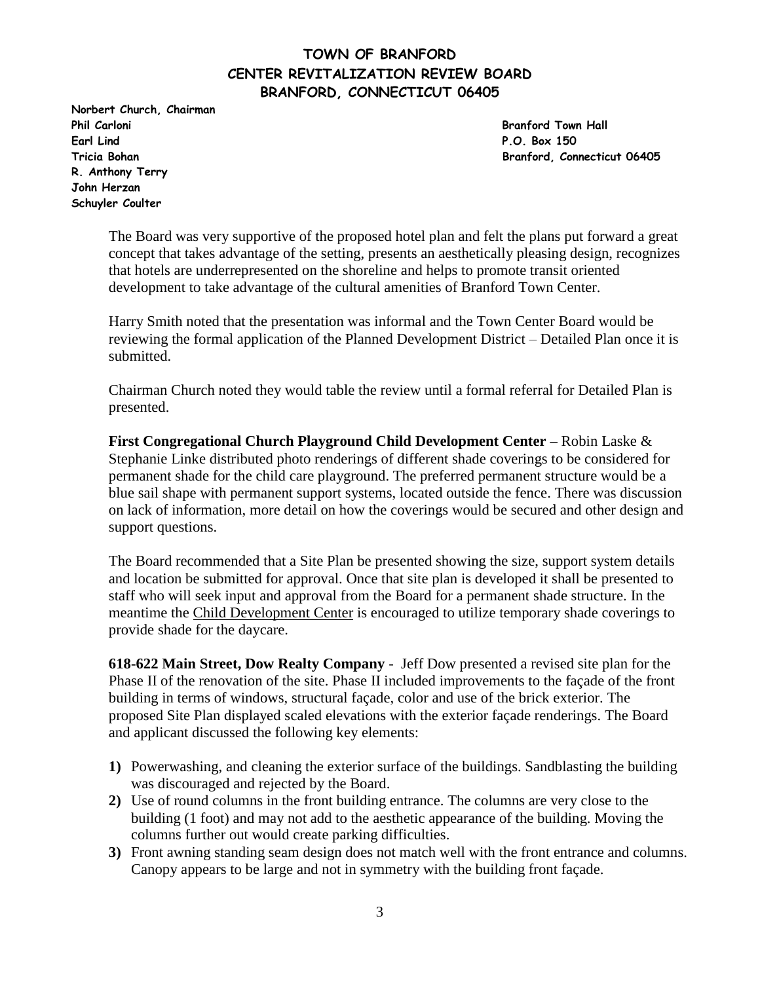**Norbert Church, Chairman Phil Carloni Branford Town Hall Earl Lind P.O. Box 150 R. Anthony Terry John Herzan Schuyler Coulter** 

**Tricia Bohan Branford, Connecticut 06405**

The Board was very supportive of the proposed hotel plan and felt the plans put forward a great concept that takes advantage of the setting, presents an aesthetically pleasing design, recognizes that hotels are underrepresented on the shoreline and helps to promote transit oriented development to take advantage of the cultural amenities of Branford Town Center.

Harry Smith noted that the presentation was informal and the Town Center Board would be reviewing the formal application of the Planned Development District – Detailed Plan once it is submitted.

Chairman Church noted they would table the review until a formal referral for Detailed Plan is presented.

**First Congregational Church Playground Child Development Center –** Robin Laske & Stephanie Linke distributed photo renderings of different shade coverings to be considered for permanent shade for the child care playground. The preferred permanent structure would be a blue sail shape with permanent support systems, located outside the fence. There was discussion on lack of information, more detail on how the coverings would be secured and other design and support questions.

The Board recommended that a Site Plan be presented showing the size, support system details and location be submitted for approval. Once that site plan is developed it shall be presented to staff who will seek input and approval from the Board for a permanent shade structure. In the meantime the Child Development Center is encouraged to utilize temporary shade coverings to provide shade for the daycare.

**618-622 Main Street, Dow Realty Company** - Jeff Dow presented a revised site plan for the Phase II of the renovation of the site. Phase II included improvements to the façade of the front building in terms of windows, structural façade, color and use of the brick exterior. The proposed Site Plan displayed scaled elevations with the exterior façade renderings. The Board and applicant discussed the following key elements:

- **1)** Powerwashing, and cleaning the exterior surface of the buildings. Sandblasting the building was discouraged and rejected by the Board.
- **2)** Use of round columns in the front building entrance. The columns are very close to the building (1 foot) and may not add to the aesthetic appearance of the building. Moving the columns further out would create parking difficulties.
- **3)** Front awning standing seam design does not match well with the front entrance and columns. Canopy appears to be large and not in symmetry with the building front façade.